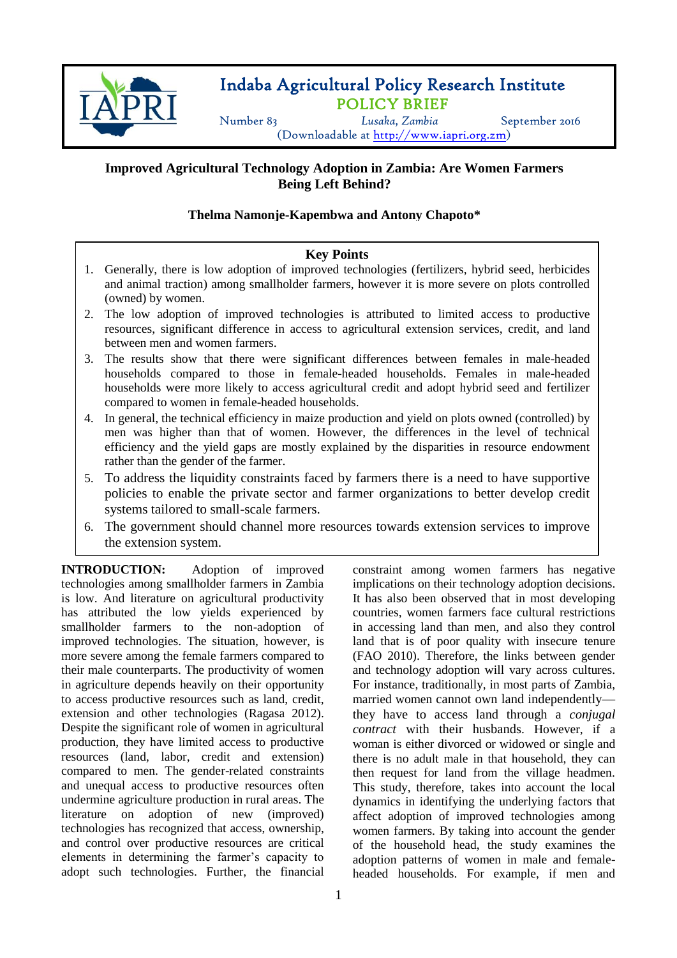

**-**

# Indaba Agricultural Policy Research Institute POLICY BRIEF

Number 83 *Lusaka, Zambia* September 2016 (Downloadable at [http://www.iapri.org.zm\)](http://www.iapri.org.zm/)

# **Improved Agricultural Technology Adoption in Zambia: Are Women Farmers Being Left Behind?**

## **Thelma Namonje-Kapembwa and Antony Chapoto\***

## **Key Points**

- 1. Generally, there is low adoption of improved technologies (fertilizers, hybrid seed, herbicides and animal traction) among smallholder farmers, however it is more severe on plots controlled (owned) by women.
- 2. The low adoption of improved technologies is attributed to limited access to productive resources, significant difference in access to agricultural extension services, credit, and land between men and women farmers.
- 3. The results show that there were significant differences between females in male-headed households compared to those in female-headed households. Females in male-headed households were more likely to access agricultural credit and adopt hybrid seed and fertilizer compared to women in female-headed households.
- 4. In general, the technical efficiency in maize production and yield on plots owned (controlled) by men was higher than that of women. However, the differences in the level of technical efficiency and the yield gaps are mostly explained by the disparities in resource endowment rather than the gender of the farmer.
- 5. To address the liquidity constraints faced by farmers there is a need to have supportive policies to enable the private sector and farmer organizations to better develop credit systems tailored to small-scale farmers.
- 6. The government should channel more resources towards extension services to improve the extension system.

**INTRODUCTION:** Adoption of improved technologies among smallholder farmers in Zambia is low. And literature on agricultural productivity has attributed the low yields experienced by smallholder farmers to the non-adoption of improved technologies. The situation, however, is more severe among the female farmers compared to their male counterparts. The productivity of women in agriculture depends heavily on their opportunity to access productive resources such as land, credit, extension and other technologies (Ragasa 2012). Despite the significant role of women in agricultural production, they have limited access to productive resources (land, labor, credit and extension) compared to men. The gender-related constraints and unequal access to productive resources often undermine agriculture production in rural areas. The literature on adoption of new (improved) technologies has recognized that access, ownership, and control over productive resources are critical elements in determining the farmer's capacity to adopt such technologies. Further, the financial

constraint among women farmers has negative implications on their technology adoption decisions. It has also been observed that in most developing countries, women farmers face cultural restrictions in accessing land than men, and also they control land that is of poor quality with insecure tenure (FAO 2010). Therefore, the links between gender and technology adoption will vary across cultures. For instance, traditionally, in most parts of Zambia, married women cannot own land independently they have to access land through a *conjugal contract* with their husbands. However, if a woman is either divorced or widowed or single and there is no adult male in that household, they can then request for land from the village headmen. This study, therefore, takes into account the local dynamics in identifying the underlying factors that affect adoption of improved technologies among women farmers. By taking into account the gender of the household head, the study examines the adoption patterns of women in male and femaleheaded households. For example, if men and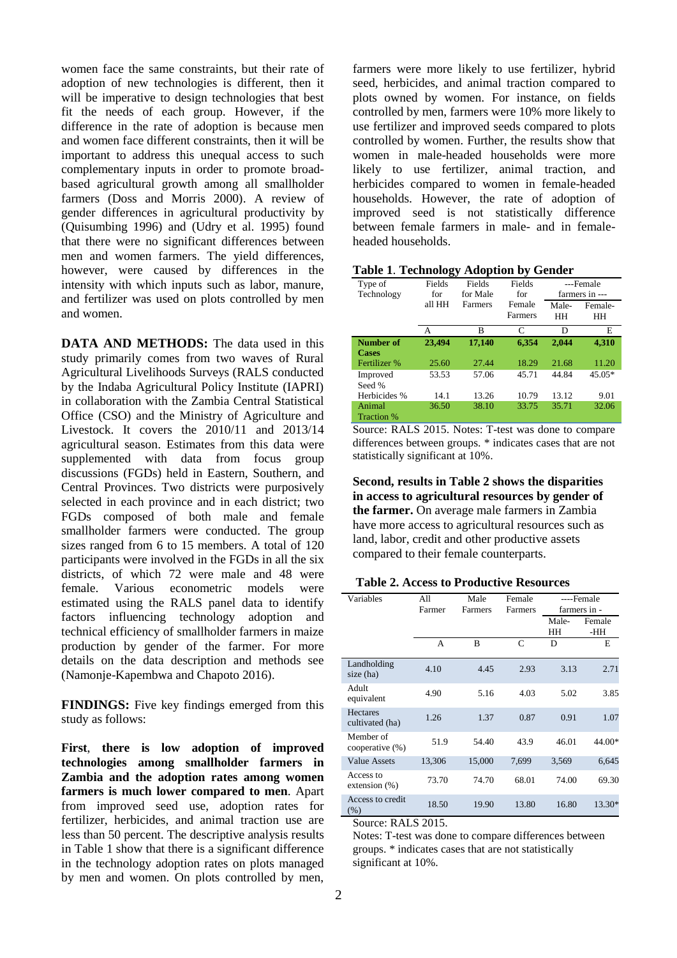women face the same constraints, but their rate of adoption of new technologies is different, then it will be imperative to design technologies that best fit the needs of each group. However, if the difference in the rate of adoption is because men and women face different constraints, then it will be important to address this unequal access to such complementary inputs in order to promote broadbased agricultural growth among all smallholder farmers (Doss and Morris 2000). A review of gender differences in agricultural productivity by (Quisumbing 1996) and (Udry et al. 1995) found that there were no significant differences between men and women farmers. The yield differences, however, were caused by differences in the intensity with which inputs such as labor, manure, and fertilizer was used on plots controlled by men and women.

**DATA AND METHODS:** The data used in this study primarily comes from two waves of Rural Agricultural Livelihoods Surveys (RALS conducted by the Indaba Agricultural Policy Institute (IAPRI) in collaboration with the Zambia Central Statistical Office (CSO) and the Ministry of Agriculture and Livestock. It covers the 2010/11 and 2013/14 agricultural season. Estimates from this data were supplemented with data from focus group discussions (FGDs) held in Eastern, Southern, and Central Provinces. Two districts were purposively selected in each province and in each district; two FGDs composed of both male and female smallholder farmers were conducted. The group sizes ranged from 6 to 15 members. A total of 120 participants were involved in the FGDs in all the six districts, of which 72 were male and 48 were female. Various econometric models were estimated using the RALS panel data to identify factors influencing technology adoption and technical efficiency of smallholder farmers in maize production by gender of the farmer. For more details on the data description and methods see (Namonje-Kapembwa and Chapoto 2016).

**FINDINGS:** Five key findings emerged from this study as follows:

**First**, **there is low adoption of improved technologies among smallholder farmers in Zambia and the adoption rates among women farmers is much lower compared to men**. Apart from improved seed use, adoption rates for fertilizer, herbicides, and animal traction use are less than 50 percent. The descriptive analysis results in Table 1 show that there is a significant difference in the technology adoption rates on plots managed by men and women. On plots controlled by men,

farmers were more likely to use fertilizer, hybrid seed, herbicides, and animal traction compared to plots owned by women. For instance, on fields controlled by men, farmers were 10% more likely to use fertilizer and improved seeds compared to plots controlled by women. Further, the results show that women in male-headed households were more likely to use fertilizer, animal traction, and herbicides compared to women in female-headed households. However, the rate of adoption of improved seed is not statistically difference between female farmers in male- and in femaleheaded households.

|  | <b>Table 1. Technology Adoption by Gender</b> |  |  |  |
|--|-----------------------------------------------|--|--|--|
|--|-----------------------------------------------|--|--|--|

|                   | ◡      |                |         |                |          |
|-------------------|--------|----------------|---------|----------------|----------|
| Type of           | Fields | Fields         | Fields  | ---Female      |          |
| Technology        | for    | for Male       | for     | farmers in --- |          |
|                   | all HH | <b>Farmers</b> | Female  | Male-          | Female-  |
|                   |        |                | Farmers | ΗH             | HH       |
|                   | А      | B              | C       | D              | E        |
| Number of         | 23,494 | 17,140         | 6,354   | 2,044          | 4,310    |
| <b>Cases</b>      |        |                |         |                |          |
| Fertilizer %      | 25.60  | 27.44          | 18.29   | 21.68          | 11.20    |
| Improved          | 53.53  | 57.06          | 45.71   | 44.84          | $45.05*$ |
| Seed %            |        |                |         |                |          |
| Herbicides %      | 14.1   | 13.26          | 10.79   | 13.12          | 9.01     |
| Animal            | 36.50  | 38.10          | 33.75   | 35.71          | 32.06    |
| <b>Traction</b> % |        |                |         |                |          |

Source: RALS 2015. Notes: T-test was done to compare differences between groups. \* indicates cases that are not statistically significant at 10%.

**Second, results in Table 2 shows the disparities in access to agricultural resources by gender of the farmer.** On average male farmers in Zambia have more access to agricultural resources such as land, labor, credit and other productive assets compared to their female counterparts.

**Table 2. Access to Productive Resources**

| Variables                          | A11<br>Farmer | Male<br>Farmers | Female<br>Farmers | ----Female<br>farmers in - |               |
|------------------------------------|---------------|-----------------|-------------------|----------------------------|---------------|
|                                    |               |                 |                   | Male-<br>HH                | Female<br>-HH |
|                                    | A             | B               | C                 | D                          | E             |
| Landholding<br>size (ha)           | 4.10          | 4.45            | 2.93              | 3.13                       | 2.71          |
| Adult<br>equivalent                | 4.90          | 5.16            | 4.03              | 5.02                       | 3.85          |
| <b>Hectares</b><br>cultivated (ha) | 1.26          | 1.37            | 0.87              | 0.91                       | 1.07          |
| Member of<br>cooperative (%)       | 51.9          | 54.40           | 43.9              | 46.01                      | 44.00*        |
| <b>Value Assets</b>                | 13,306        | 15,000          | 7,699             | 3,569                      | 6,645         |
| Access to<br>extension $(\%)$      | 73.70         | 74.70           | 68.01             | 74.00                      | 69.30         |
| Access to credit<br>$(\% )$        | 18.50         | 19.90           | 13.80             | 16.80                      | 13.30*        |

Source: RALS 2015.

Notes: T-test was done to compare differences between groups. \* indicates cases that are not statistically significant at 10%.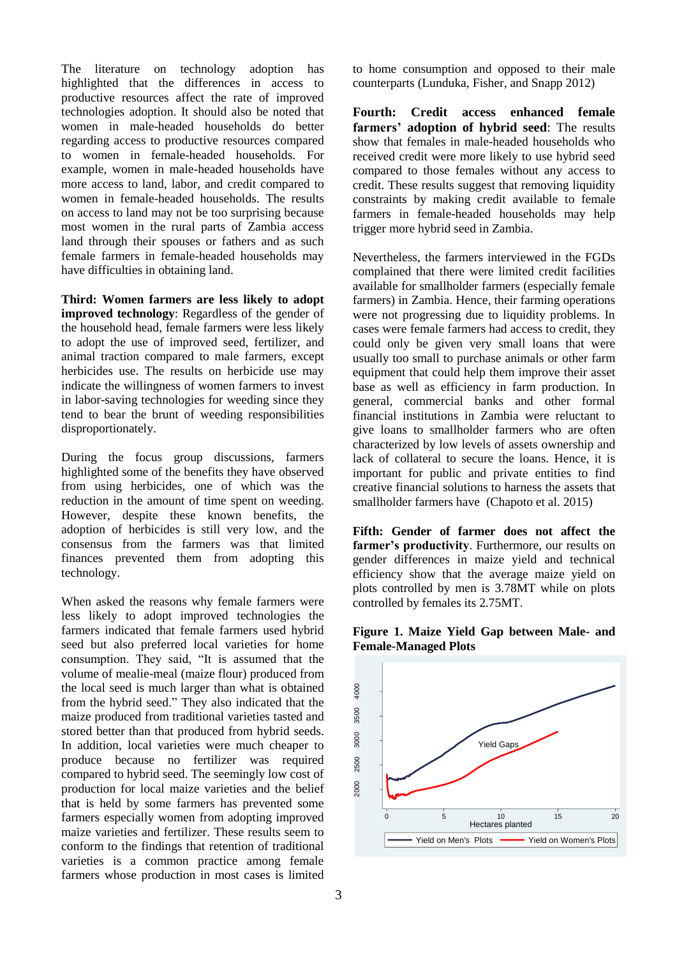The literature on technology adoption has highlighted that the differences in access to productive resources affect the rate of improved technologies adoption. It should also be noted that women in male-headed households do better regarding access to productive resources compared to women in female-headed households. For example, women in male-headed households have more access to land, labor, and credit compared to women in female-headed households. The results on access to land may not be too surprising because most women in the rural parts of Zambia access land through their spouses or fathers and as such female farmers in female-headed households may have difficulties in obtaining land.

**Third: Women farmers are less likely to adopt improved technology**: Regardless of the gender of the household head, female farmers were less likely to adopt the use of improved seed, fertilizer, and animal traction compared to male farmers, except herbicides use. The results on herbicide use may indicate the willingness of women farmers to invest in labor-saving technologies for weeding since they tend to bear the brunt of weeding responsibilities disproportionately.

During the focus group discussions, farmers highlighted some of the benefits they have observed from using herbicides, one of which was the reduction in the amount of time spent on weeding. However, despite these known benefits, the adoption of herbicides is still very low, and the consensus from the farmers was that limited finances prevented them from adopting this technology.

When asked the reasons why female farmers were less likely to adopt improved technologies the farmers indicated that female farmers used hybrid seed but also preferred local varieties for home consumption. They said, "It is assumed that the volume of mealie-meal (maize flour) produced from the local seed is much larger than what is obtained from the hybrid seed." They also indicated that the maize produced from traditional varieties tasted and stored better than that produced from hybrid seeds. In addition, local varieties were much cheaper to produce because no fertilizer was required compared to hybrid seed. The seemingly low cost of production for local maize varieties and the belief that is held by some farmers has prevented some farmers especially women from adopting improved maize varieties and fertilizer. These results seem to conform to the findings that retention of traditional varieties is a common practice among female farmers whose production in most cases is limited th<br>an<br>ede

to home consumption and opposed to their male counterparts (Lunduka, Fisher, and Snapp 2012)

**Fourth: Credit access enhanced female farmers' adoption of hybrid seed**: The results show that females in male-headed households who received credit were more likely to use hybrid seed compared to those females without any access to credit. These results suggest that removing liquidity constraints by making credit available to female farmers in female-headed households may help trigger more hybrid seed in Zambia.

Nevertheless, the farmers interviewed in the FGDs complained that there were limited credit facilities available for smallholder farmers (especially female farmers) in Zambia. Hence, their farming operations were not progressing due to liquidity problems. In cases were female farmers had access to credit, they could only be given very small loans that were usually too small to purchase animals or other farm equipment that could help them improve their asset base as well as efficiency in farm production. In general, commercial banks and other formal financial institutions in Zambia were reluctant to give loans to smallholder farmers who are often characterized by low levels of assets ownership and lack of collateral to secure the loans. Hence, it is important for public and private entities to find creative financial solutions to harness the assets that smallholder farmers have (Chapoto et al. 2015)

**Fifth: Gender of farmer does not affect the farmer's productivity**. Furthermore, our results on gender differences in maize yield and technical efficiency show that the average maize yield on plots controlled by men is 3.78MT while on plots controlled by females its 2.75MT.



**Figure 1. Maize Yield Gap between Male- and Female-Managed Plots**